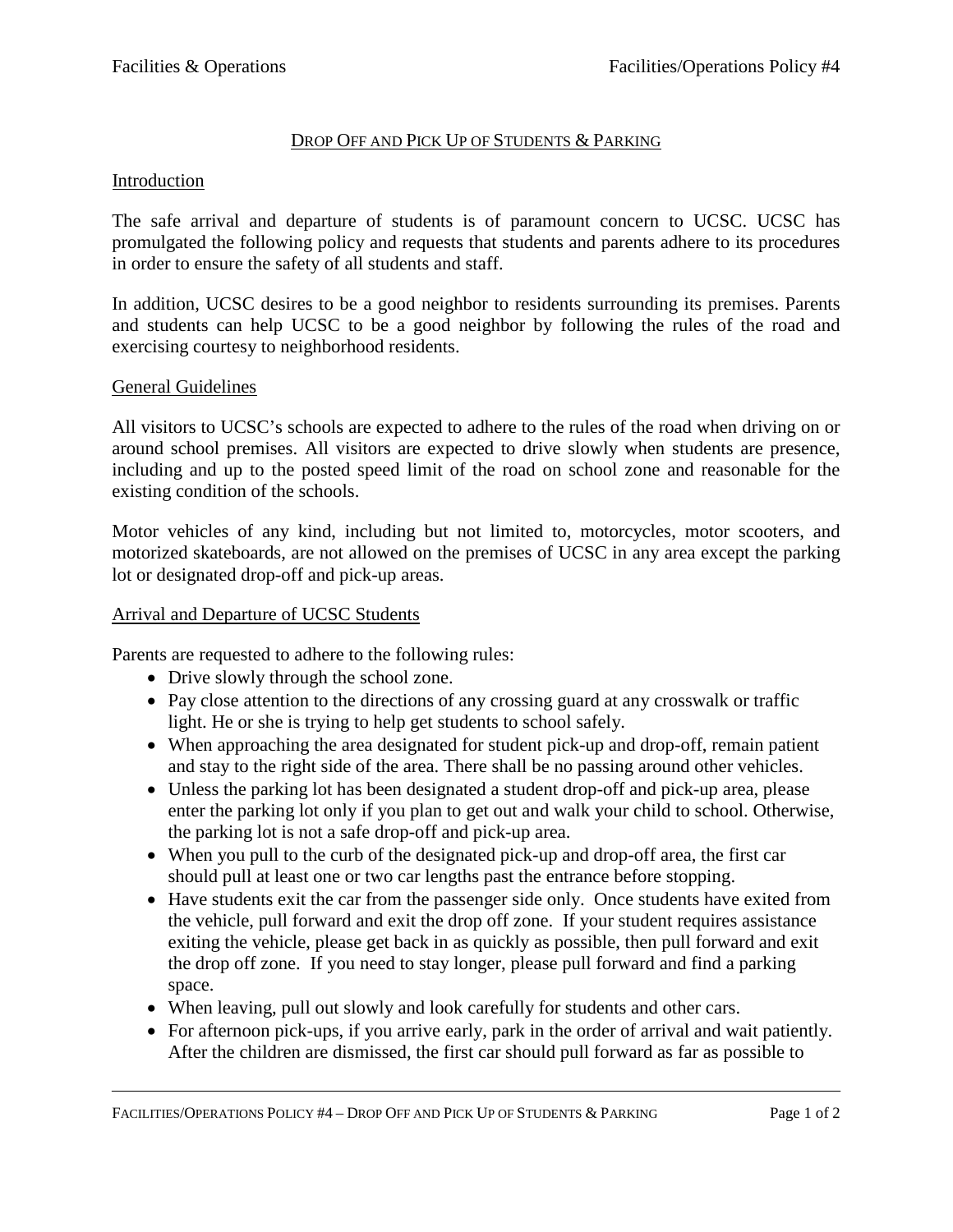## DROP OFF AND PICK UP OF STUDENTS & PARKING

### Introduction

The safe arrival and departure of students is of paramount concern to UCSC. UCSC has promulgated the following policy and requests that students and parents adhere to its procedures in order to ensure the safety of all students and staff.

In addition, UCSC desires to be a good neighbor to residents surrounding its premises. Parents and students can help UCSC to be a good neighbor by following the rules of the road and exercising courtesy to neighborhood residents.

#### General Guidelines

All visitors to UCSC's schools are expected to adhere to the rules of the road when driving on or around school premises. All visitors are expected to drive slowly when students are presence, including and up to the posted speed limit of the road on school zone and reasonable for the existing condition of the schools.

Motor vehicles of any kind, including but not limited to, motorcycles, motor scooters, and motorized skateboards, are not allowed on the premises of UCSC in any area except the parking lot or designated drop-off and pick-up areas.

#### Arrival and Departure of UCSC Students

Parents are requested to adhere to the following rules:

- Drive slowly through the school zone.
- Pay close attention to the directions of any crossing guard at any crosswalk or traffic light. He or she is trying to help get students to school safely.
- When approaching the area designated for student pick-up and drop-off, remain patient and stay to the right side of the area. There shall be no passing around other vehicles.
- Unless the parking lot has been designated a student drop-off and pick-up area, please enter the parking lot only if you plan to get out and walk your child to school. Otherwise, the parking lot is not a safe drop-off and pick-up area.
- When you pull to the curb of the designated pick-up and drop-off area, the first car should pull at least one or two car lengths past the entrance before stopping.
- Have students exit the car from the passenger side only. Once students have exited from the vehicle, pull forward and exit the drop off zone. If your student requires assistance exiting the vehicle, please get back in as quickly as possible, then pull forward and exit the drop off zone. If you need to stay longer, please pull forward and find a parking space.
- When leaving, pull out slowly and look carefully for students and other cars.
- For afternoon pick-ups, if you arrive early, park in the order of arrival and wait patiently. After the children are dismissed, the first car should pull forward as far as possible to